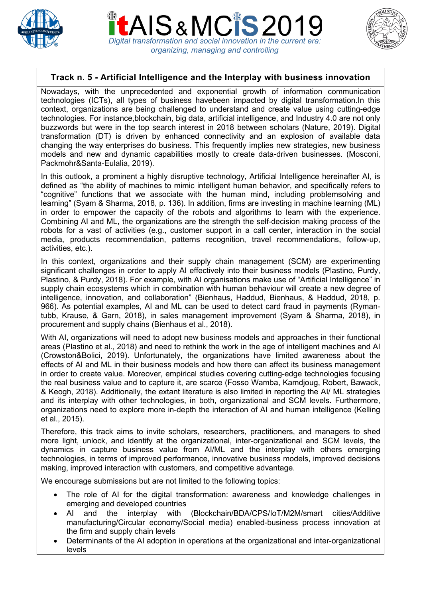

*Digital transformation and social innovation in the current era: organizing, managing and controlling*



# **Track n. 5 - Artificial Intelligence and the Interplay with business innovation**

Nowadays, with the unprecedented and exponential growth of information communication technologies (ICTs), all types of business havebeen impacted by digital transformation.In this context, organizations are being challenged to understand and create value using cutting-edge technologies. For instance,blockchain, big data, artificial intelligence, and Industry 4.0 are not only buzzwords but were in the top search interest in 2018 between scholars (Nature, 2019). Digital transformation (DT) is driven by enhanced connectivity and an explosion of available data changing the way enterprises do business. This frequently implies new strategies, new business models and new and dynamic capabilities mostly to create data-driven businesses. (Mosconi, Packmohr&Santa-Eulalia, 2019).

In this outlook, a prominent a highly disruptive technology, Artificial Intelligence hereinafter AI, is defined as "the ability of machines to mimic intelligent human behavior, and specifically refers to "cognitive" functions that we associate with the human mind, including problemsolving and learning" (Syam & Sharma, 2018, p. 136). In addition, firms are investing in machine learning (ML) in order to empower the capacity of the robots and algorithms to learn with the experience. Combining AI and ML, the organizations are the strength the self-decision making process of the robots for a vast of activities (e.g., customer support in a call center, interaction in the social media, products recommendation, patterns recognition, travel recommendations, follow-up, activities, etc.).

In this context, organizations and their supply chain management (SCM) are experimenting significant challenges in order to apply AI effectively into their business models (Plastino, Purdy, Plastino, & Purdy, 2018). For example, with AI organisations make use of "Artificial Intelligence" in supply chain ecosystems which in combination with human behaviour will create a new degree of intelligence, innovation, and collaboration" (Bienhaus, Haddud, Bienhaus, & Haddud, 2018, p. 966). As potential examples, AI and ML can be used to detect card fraud in payments (Rymantubb, Krause, & Garn, 2018), in sales management improvement (Syam & Sharma, 2018), in procurement and supply chains (Bienhaus et al., 2018).

With AI, organizations will need to adopt new business models and approaches in their functional areas (Plastino et al., 2018) and need to rethink the work in the age of intelligent machines and AI (Crowston&Bolici, 2019). Unfortunately, the organizations have limited awareness about the effects of AI and ML in their business models and how there can affect its business management in order to create value. Moreover, empirical studies covering cutting-edge technologies focusing the real business value and to capture it, are scarce (Fosso Wamba, Kamdjoug, Robert, Bawack, & Keogh, 2018). Additionally, the extant literature is also limited in reporting the AI/ ML strategies and its interplay with other technologies, in both, organizational and SCM levels. Furthermore, organizations need to explore more in-depth the interaction of AI and human intelligence (Kelling et al., 2015).

Therefore, this track aims to invite scholars, researchers, practitioners, and managers to shed more light, unlock, and identify at the organizational, inter-organizational and SCM levels, the dynamics in capture business value from AI/ML and the interplay with others emerging technologies, in terms of improved performance, innovative business models, improved decisions making, improved interaction with customers, and competitive advantage.

We encourage submissions but are not limited to the following topics:

- The role of AI for the digital transformation: awareness and knowledge challenges in emerging and developed countries
- AI and the interplay with (Blockchain/BDA/CPS/IoT/M2M/smart cities/Additive manufacturing/Circular economy/Social media) enabled-business process innovation at the firm and supply chain levels
- Determinants of the AI adoption in operations at the organizational and inter-organizational levels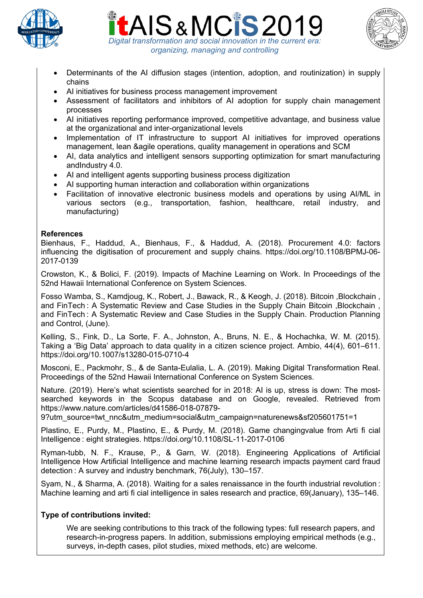





- Determinants of the AI diffusion stages (intention, adoption, and routinization) in supply chains
- AI initiatives for business process management improvement
- Assessment of facilitators and inhibitors of AI adoption for supply chain management processes
- AI initiatives reporting performance improved, competitive advantage, and business value at the organizational and inter-organizational levels
- Implementation of IT infrastructure to support AI initiatives for improved operations management, lean &agile operations, quality management in operations and SCM
- AI, data analytics and intelligent sensors supporting optimization for smart manufacturing andIndustry 4.0.
- AI and intelligent agents supporting business process digitization
- AI supporting human interaction and collaboration within organizations
- Facilitation of innovative electronic business models and operations by using AI/ML in various sectors (e.g., transportation, fashion, healthcare, retail industry, and manufacturing)

#### **References**

Bienhaus, F., Haddud, A., Bienhaus, F., & Haddud, A. (2018). Procurement 4.0: factors influencing the digitisation of procurement and supply chains. https://doi.org/10.1108/BPMJ-06- 2017-0139

Crowston, K., & Bolici, F. (2019). Impacts of Machine Learning on Work. In Proceedings of the 52nd Hawaii International Conference on System Sciences.

Fosso Wamba, S., Kamdjoug, K., Robert, J., Bawack, R., & Keogh, J. (2018). Bitcoin ,Blockchain , and FinTech : A Systematic Review and Case Studies in the Supply Chain Bitcoin , Blockchain, and FinTech : A Systematic Review and Case Studies in the Supply Chain. Production Planning and Control, (June).

Kelling, S., Fink, D., La Sorte, F. A., Johnston, A., Bruns, N. E., & Hochachka, W. M. (2015). Taking a 'Big Data' approach to data quality in a citizen science project. Ambio, 44(4), 601–611. https://doi.org/10.1007/s13280-015-0710-4

Mosconi, E., Packmohr, S., & de Santa-Eulalia, L. A. (2019). Making Digital Transformation Real. Proceedings of the 52nd Hawaii International Conference on System Sciences.

Nature. (2019). Here's what scientists searched for in 2018: AI is up, stress is down: The mostsearched keywords in the Scopus database and on Google, revealed. Retrieved from https://www.nature.com/articles/d41586-018-07879-

9?utm\_source=twt\_nnc&utm\_medium=social&utm\_campaign=naturenews&sf205601751=1

Plastino, E., Purdy, M., Plastino, E., & Purdy, M. (2018). Game changingvalue from Arti fi cial Intelligence : eight strategies. https://doi.org/10.1108/SL-11-2017-0106

Ryman-tubb, N. F., Krause, P., & Garn, W. (2018). Engineering Applications of Artificial Intelligence How Artificial Intelligence and machine learning research impacts payment card fraud detection : A survey and industry benchmark, 76(July), 130–157.

Syam, N., & Sharma, A. (2018). Waiting for a sales renaissance in the fourth industrial revolution : Machine learning and arti fi cial intelligence in sales research and practice, 69(January), 135–146.

#### **Type of contributions invited:**

We are seeking contributions to this track of the following types: full research papers, and research-in-progress papers. In addition, submissions employing empirical methods (e.g., surveys, in-depth cases, pilot studies, mixed methods, etc) are welcome.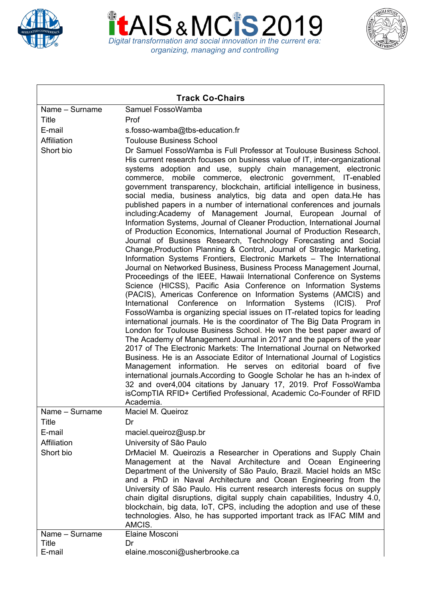





| <b>Track Co-Chairs</b> |                                                                                                                                                                                                                                                                                                                                                                                                                                                                                                                                                                                                                                                                                                                                                                                                                                                                                                                                                                                                                                                                                                                                                                                                                                                                                                                                                                                                                                                                                                                                                                                                                                                                                                                                                                                                                                                                                                                                                                                                                                                                                               |
|------------------------|-----------------------------------------------------------------------------------------------------------------------------------------------------------------------------------------------------------------------------------------------------------------------------------------------------------------------------------------------------------------------------------------------------------------------------------------------------------------------------------------------------------------------------------------------------------------------------------------------------------------------------------------------------------------------------------------------------------------------------------------------------------------------------------------------------------------------------------------------------------------------------------------------------------------------------------------------------------------------------------------------------------------------------------------------------------------------------------------------------------------------------------------------------------------------------------------------------------------------------------------------------------------------------------------------------------------------------------------------------------------------------------------------------------------------------------------------------------------------------------------------------------------------------------------------------------------------------------------------------------------------------------------------------------------------------------------------------------------------------------------------------------------------------------------------------------------------------------------------------------------------------------------------------------------------------------------------------------------------------------------------------------------------------------------------------------------------------------------------|
| Name - Surname         | Samuel FossoWamba                                                                                                                                                                                                                                                                                                                                                                                                                                                                                                                                                                                                                                                                                                                                                                                                                                                                                                                                                                                                                                                                                                                                                                                                                                                                                                                                                                                                                                                                                                                                                                                                                                                                                                                                                                                                                                                                                                                                                                                                                                                                             |
| Title                  | Prof                                                                                                                                                                                                                                                                                                                                                                                                                                                                                                                                                                                                                                                                                                                                                                                                                                                                                                                                                                                                                                                                                                                                                                                                                                                                                                                                                                                                                                                                                                                                                                                                                                                                                                                                                                                                                                                                                                                                                                                                                                                                                          |
| E-mail                 | s.fosso-wamba@tbs-education.fr                                                                                                                                                                                                                                                                                                                                                                                                                                                                                                                                                                                                                                                                                                                                                                                                                                                                                                                                                                                                                                                                                                                                                                                                                                                                                                                                                                                                                                                                                                                                                                                                                                                                                                                                                                                                                                                                                                                                                                                                                                                                |
| Affiliation            | <b>Toulouse Business School</b>                                                                                                                                                                                                                                                                                                                                                                                                                                                                                                                                                                                                                                                                                                                                                                                                                                                                                                                                                                                                                                                                                                                                                                                                                                                                                                                                                                                                                                                                                                                                                                                                                                                                                                                                                                                                                                                                                                                                                                                                                                                               |
| Short bio              | Dr Samuel FossoWamba is Full Professor at Toulouse Business School.<br>His current research focuses on business value of IT, inter-organizational<br>systems adoption and use, supply chain management, electronic<br>commerce, mobile commerce, electronic government, IT-enabled<br>government transparency, blockchain, artificial intelligence in business,<br>social media, business analytics, big data and open data.He has<br>published papers in a number of international conferences and journals<br>including:Academy of Management Journal, European Journal of<br>Information Systems, Journal of Cleaner Production, International Journal<br>of Production Economics, International Journal of Production Research,<br>Journal of Business Research, Technology Forecasting and Social<br>Change, Production Planning & Control, Journal of Strategic Marketing,<br>Information Systems Frontiers, Electronic Markets - The International<br>Journal on Networked Business, Business Process Management Journal,<br>Proceedings of the IEEE, Hawaii International Conference on Systems<br>Science (HICSS), Pacific Asia Conference on Information Systems<br>(PACIS), Americas Conference on Information Systems (AMCIS) and<br>International Conference<br>Information<br>Systems<br>on<br>(ICIS).<br>Prof<br>FossoWamba is organizing special issues on IT-related topics for leading<br>international journals. He is the coordinator of The Big Data Program in<br>London for Toulouse Business School. He won the best paper award of<br>The Academy of Management Journal in 2017 and the papers of the year<br>2017 of The Electronic Markets: The International Journal on Networked<br>Business. He is an Associate Editor of International Journal of Logistics<br>Management information. He serves on editorial board of five<br>international journals. According to Google Scholar he has an h-index of<br>32 and over4,004 citations by January 17, 2019. Prof FossoWamba<br>isCompTIA RFID+ Certified Professional, Academic Co-Founder of RFID<br>Academia. |
| Name - Surname         | Maciel M. Queiroz                                                                                                                                                                                                                                                                                                                                                                                                                                                                                                                                                                                                                                                                                                                                                                                                                                                                                                                                                                                                                                                                                                                                                                                                                                                                                                                                                                                                                                                                                                                                                                                                                                                                                                                                                                                                                                                                                                                                                                                                                                                                             |
| Title                  | Dr                                                                                                                                                                                                                                                                                                                                                                                                                                                                                                                                                                                                                                                                                                                                                                                                                                                                                                                                                                                                                                                                                                                                                                                                                                                                                                                                                                                                                                                                                                                                                                                                                                                                                                                                                                                                                                                                                                                                                                                                                                                                                            |
| E-mail                 | maciel.queiroz@usp.br                                                                                                                                                                                                                                                                                                                                                                                                                                                                                                                                                                                                                                                                                                                                                                                                                                                                                                                                                                                                                                                                                                                                                                                                                                                                                                                                                                                                                                                                                                                                                                                                                                                                                                                                                                                                                                                                                                                                                                                                                                                                         |
| Affiliation            | University of São Paulo                                                                                                                                                                                                                                                                                                                                                                                                                                                                                                                                                                                                                                                                                                                                                                                                                                                                                                                                                                                                                                                                                                                                                                                                                                                                                                                                                                                                                                                                                                                                                                                                                                                                                                                                                                                                                                                                                                                                                                                                                                                                       |
| Short bio              | DrMaciel M. Queirozis a Researcher in Operations and Supply Chain                                                                                                                                                                                                                                                                                                                                                                                                                                                                                                                                                                                                                                                                                                                                                                                                                                                                                                                                                                                                                                                                                                                                                                                                                                                                                                                                                                                                                                                                                                                                                                                                                                                                                                                                                                                                                                                                                                                                                                                                                             |
|                        | Management at the Naval Architecture and Ocean Engineering<br>Department of the University of São Paulo, Brazil. Maciel holds an MSc                                                                                                                                                                                                                                                                                                                                                                                                                                                                                                                                                                                                                                                                                                                                                                                                                                                                                                                                                                                                                                                                                                                                                                                                                                                                                                                                                                                                                                                                                                                                                                                                                                                                                                                                                                                                                                                                                                                                                          |
|                        | and a PhD in Naval Architecture and Ocean Engineering from the<br>University of São Paulo. His current research interests focus on supply<br>chain digital disruptions, digital supply chain capabilities, Industry 4.0,<br>blockchain, big data, IoT, CPS, including the adoption and use of these<br>technologies. Also, he has supported important track as IFAC MIM and<br>AMCIS.                                                                                                                                                                                                                                                                                                                                                                                                                                                                                                                                                                                                                                                                                                                                                                                                                                                                                                                                                                                                                                                                                                                                                                                                                                                                                                                                                                                                                                                                                                                                                                                                                                                                                                         |
| Name - Surname         | Elaine Mosconi                                                                                                                                                                                                                                                                                                                                                                                                                                                                                                                                                                                                                                                                                                                                                                                                                                                                                                                                                                                                                                                                                                                                                                                                                                                                                                                                                                                                                                                                                                                                                                                                                                                                                                                                                                                                                                                                                                                                                                                                                                                                                |
| Title                  | Dr                                                                                                                                                                                                                                                                                                                                                                                                                                                                                                                                                                                                                                                                                                                                                                                                                                                                                                                                                                                                                                                                                                                                                                                                                                                                                                                                                                                                                                                                                                                                                                                                                                                                                                                                                                                                                                                                                                                                                                                                                                                                                            |
| E-mail                 | elaine.mosconi@usherbrooke.ca                                                                                                                                                                                                                                                                                                                                                                                                                                                                                                                                                                                                                                                                                                                                                                                                                                                                                                                                                                                                                                                                                                                                                                                                                                                                                                                                                                                                                                                                                                                                                                                                                                                                                                                                                                                                                                                                                                                                                                                                                                                                 |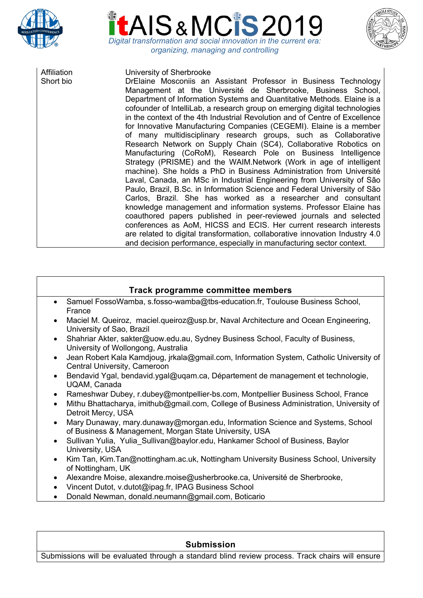





Affiliation University of Sherbrooke

Short bio DrElaine Mosconiis an Assistant Professor in Business Technology Management at the Université de Sherbrooke, Business School, Department of Information Systems and Quantitative Methods. Elaine is a cofounder of IntelliLab, a research group on emerging digital technologies in the context of the 4th Industrial Revolution and of Centre of Excellence for Innovative Manufacturing Companies (CEGEMI). Elaine is a member of many multidisciplinary research groups, such as Collaborative Research Network on Supply Chain (SC4), Collaborative Robotics on Manufacturing (CoRoM), Research Pole on Business Intelligence Strategy (PRISME) and the WAIM.Network (Work in age of intelligent machine). She holds a PhD in Business Administration from Université Laval, Canada, an MSc in Industrial Engineering from University of São Paulo, Brazil, B.Sc. in Information Science and Federal University of São Carlos, Brazil. She has worked as a researcher and consultant knowledge management and information systems. Professor Elaine has coauthored papers published in peer-reviewed journals and selected conferences as AoM, HICSS and ECIS. Her current research interests are related to digital transformation, collaborative innovation Industry 4.0 and decision performance, especially in manufacturing sector context.

## **Track programme committee members**

- Samuel FossoWamba, s.fosso-wamba@tbs-education.fr, Toulouse Business School, France
- Maciel M. Queiroz, maciel.queiroz@usp.br, Naval Architecture and Ocean Engineering, University of Sao, Brazil
- Shahriar Akter, sakter@uow.edu.au, Sydney Business School, Faculty of Business, University of Wollongong, Australia
- Jean Robert Kala Kamdjoug, jrkala@gmail.com, Information System, Catholic University of Central University, Cameroon
- Bendavid Ygal, bendavid.ygal@uqam.ca, Département de management et technologie, UQAM, Canada
- Rameshwar Dubey, r.dubey@montpellier-bs.com, Montpellier Business School, France
- Mithu Bhattacharya, imithub@gmail.com, College of Business Administration, University of Detroit Mercy, USA
- Mary Dunaway, mary.dunaway@morgan.edu, Information Science and Systems, School of Business & Management, Morgan State University, USA
- Sullivan Yulia, Yulia Sullivan@baylor.edu, Hankamer School of Business, Baylor University, USA
- Kim Tan, Kim.Tan@nottingham.ac.uk, Nottingham University Business School, University of Nottingham, UK
- Alexandre Moise, alexandre.moise@usherbrooke.ca, Université de Sherbrooke,
- Vincent Dutot, v.dutot@ipag.fr, IPAG Business School
- Donald Newman, donald.neumann@gmail.com, Boticario

### **Submission**

Submissions will be evaluated through a standard blind review process. Track chairs will ensure